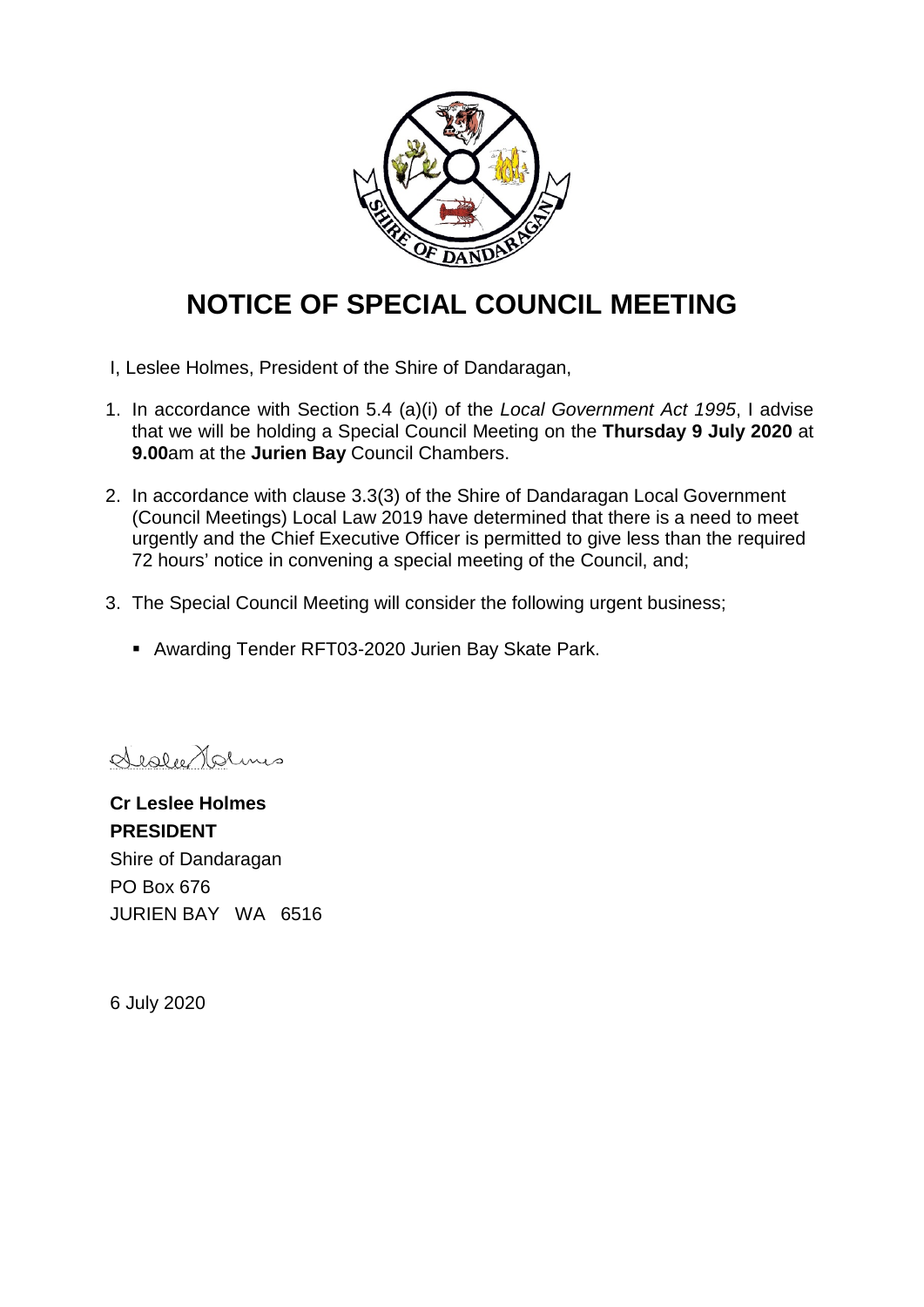

# **NOTICE OF SPECIAL COUNCIL MEETING**

- I, Leslee Holmes, President of the Shire of Dandaragan,
- 1. In accordance with Section 5.4 (a)(i) of the *Local Government Act 1995*, I advise that we will be holding a Special Council Meeting on the **Thursday 9 July 2020** at **9.00**am at the **Jurien Bay** Council Chambers.
- 2. In accordance with clause 3.3(3) of the Shire of Dandaragan Local Government (Council Meetings) Local Law 2019 have determined that there is a need to meet urgently and the Chief Executive Officer is permitted to give less than the required 72 hours' notice in convening a special meeting of the Council, and;
- 3. The Special Council Meeting will consider the following urgent business;
	- Awarding Tender RFT03-2020 Jurien Bay Skate Park.

deslat Holms

**Cr Leslee Holmes PRESIDENT** Shire of Dandaragan PO Box 676 JURIEN BAY WA 6516

6 July 2020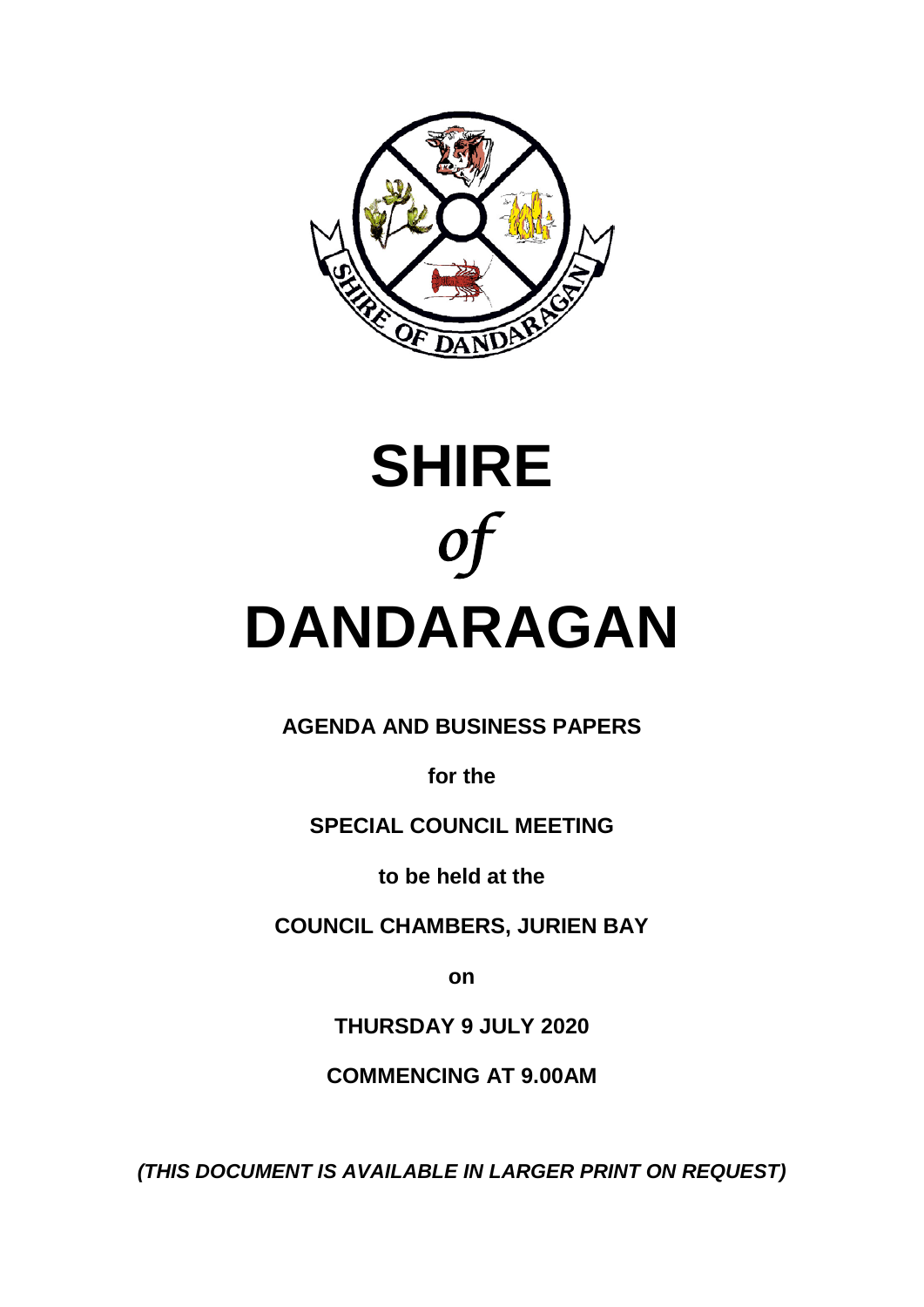



**AGENDA AND BUSINESS PAPERS**

**for the**

**SPECIAL COUNCIL MEETING**

**to be held at the**

**COUNCIL CHAMBERS, JURIEN BAY**

**on**

**THURSDAY 9 JULY 2020**

**COMMENCING AT 9.00AM**

*(THIS DOCUMENT IS AVAILABLE IN LARGER PRINT ON REQUEST)*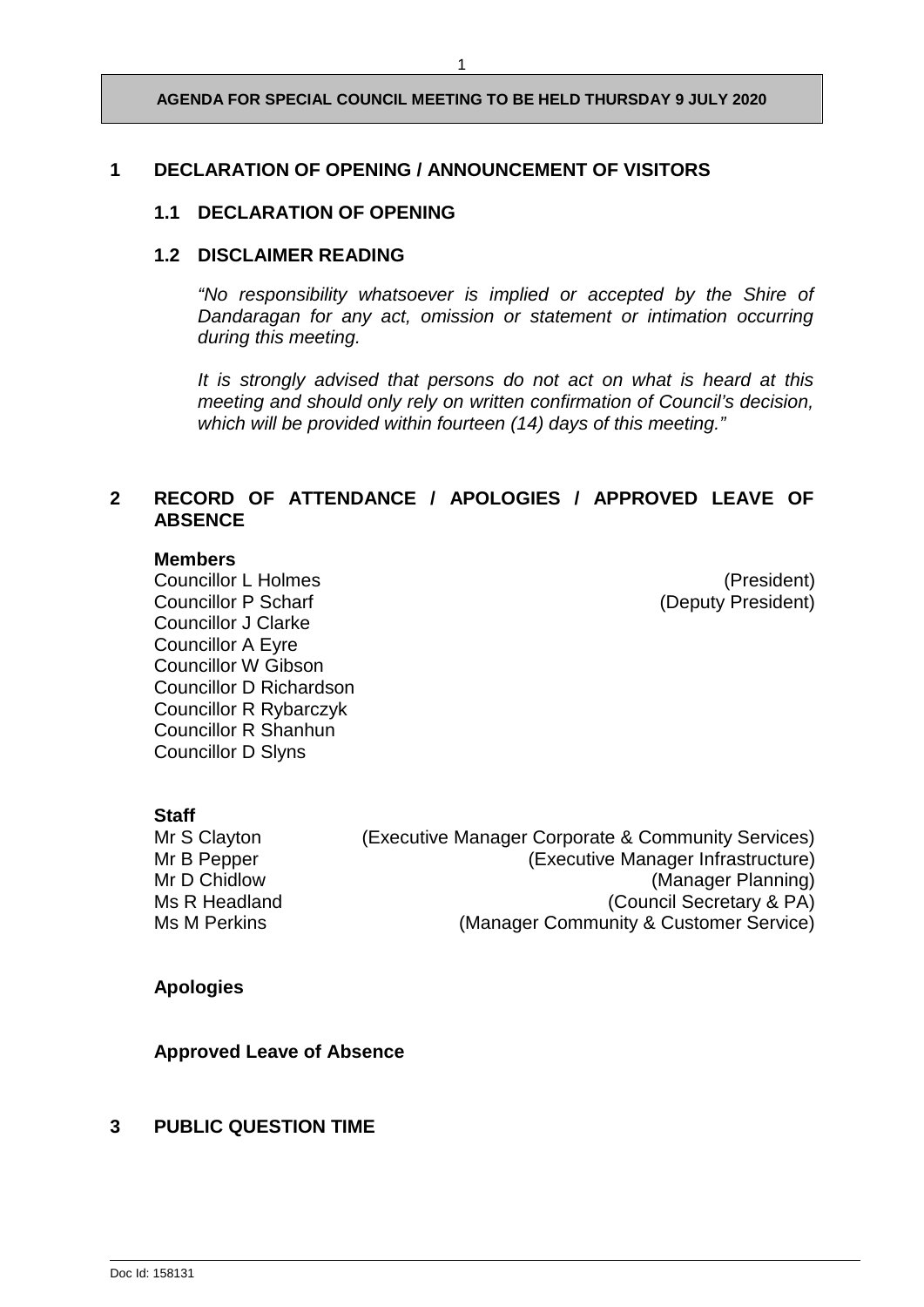#### **1 DECLARATION OF OPENING / ANNOUNCEMENT OF VISITORS**

#### **1.1 DECLARATION OF OPENING**

## **1.2 DISCLAIMER READING**

*"No responsibility whatsoever is implied or accepted by the Shire of Dandaragan for any act, omission or statement or intimation occurring during this meeting.*

*It is strongly advised that persons do not act on what is heard at this meeting and should only rely on written confirmation of Council's decision, which will be provided within fourteen (14) days of this meeting."*

## **2 RECORD OF ATTENDANCE / APOLOGIES / APPROVED LEAVE OF ABSENCE**

#### **Members**

Councillor L Holmes (President) Councillor P Scharf (Deputy President) Councillor J Clarke Councillor A Eyre Councillor W Gibson Councillor D Richardson Councillor R Rybarczyk Councillor R Shanhun Councillor D Slyns

### **Staff**

Mr S Clayton (Executive Manager Corporate & Community Services) Mr B Pepper (Executive Manager Infrastructure) Mr D Chidlow (Manager Planning)<br>
Ms R Headland (Council Secretary & PA) (Council Secretary & PA) Ms M Perkins (Manager Community & Customer Service)

**Apologies** 

**Approved Leave of Absence**

### **3 PUBLIC QUESTION TIME**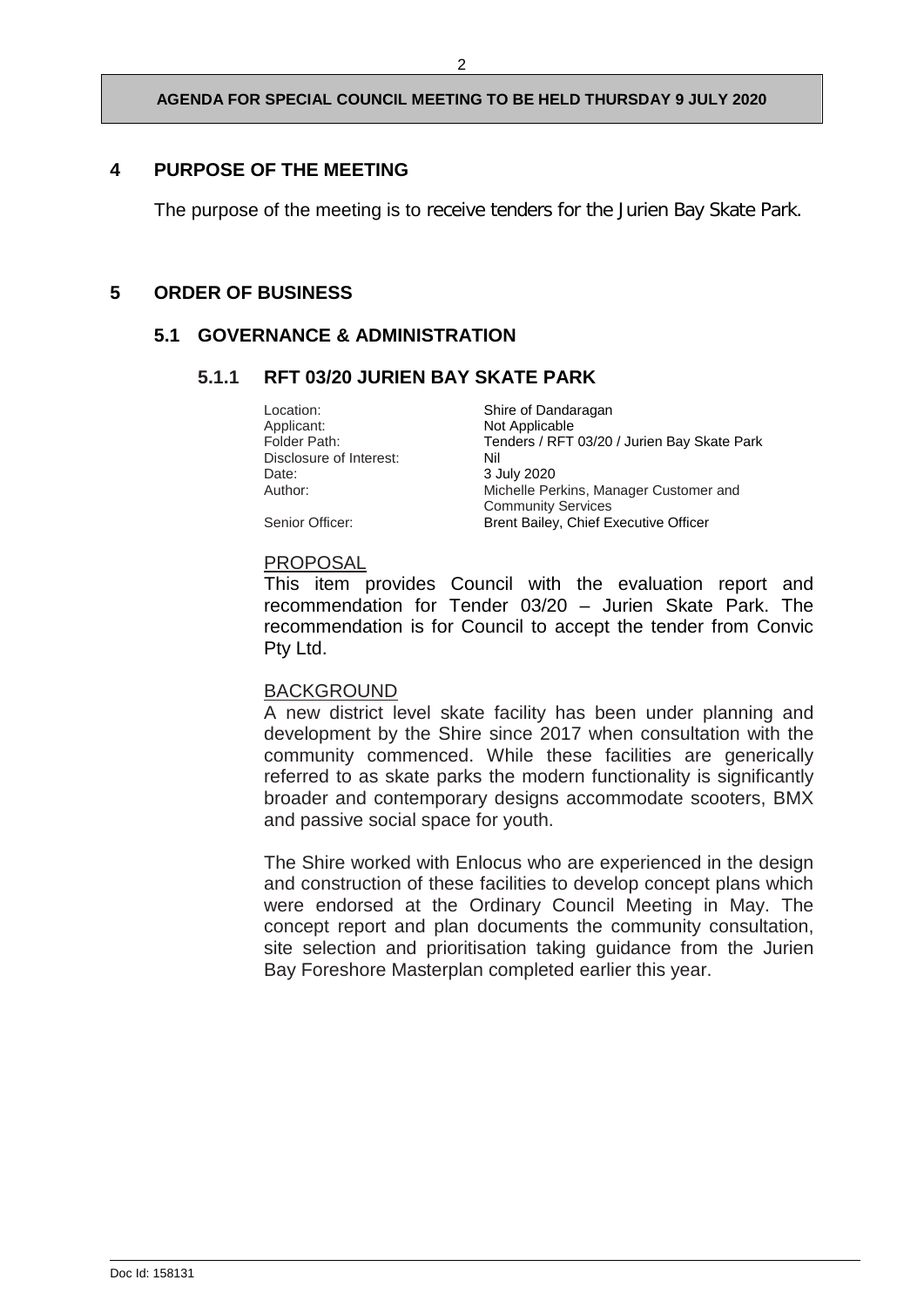## **4 PURPOSE OF THE MEETING**

The purpose of the meeting is to receive tenders for the Jurien Bay Skate Park.

## **5 ORDER OF BUSINESS**

## **5.1 GOVERNANCE & ADMINISTRATION**

## **5.1.1 RFT 03/20 JURIEN BAY SKATE PARK**

| Location:               | Shire of Dandaragan                         |
|-------------------------|---------------------------------------------|
| Applicant:              | Not Applicable                              |
| Folder Path:            | Tenders / RFT 03/20 / Jurien Bay Skate Park |
| Disclosure of Interest: | Nil                                         |
| Date:                   | 3 July 2020                                 |
| Author:                 | Michelle Perkins, Manager Customer and      |
|                         | <b>Community Services</b>                   |
| Senior Officer:         | Brent Bailey, Chief Executive Officer       |

#### PROPOSAL

This item provides Council with the evaluation report and recommendation for Tender 03/20 – Jurien Skate Park. The recommendation is for Council to accept the tender from Convic Pty Ltd.

## BACKGROUND

A new district level skate facility has been under planning and development by the Shire since 2017 when consultation with the community commenced. While these facilities are generically referred to as skate parks the modern functionality is significantly broader and contemporary designs accommodate scooters, BMX and passive social space for youth.

The Shire worked with Enlocus who are experienced in the design and construction of these facilities to develop concept plans which were endorsed at the Ordinary Council Meeting in May. The concept report and plan documents the community consultation, site selection and prioritisation taking guidance from the Jurien Bay Foreshore Masterplan completed earlier this year.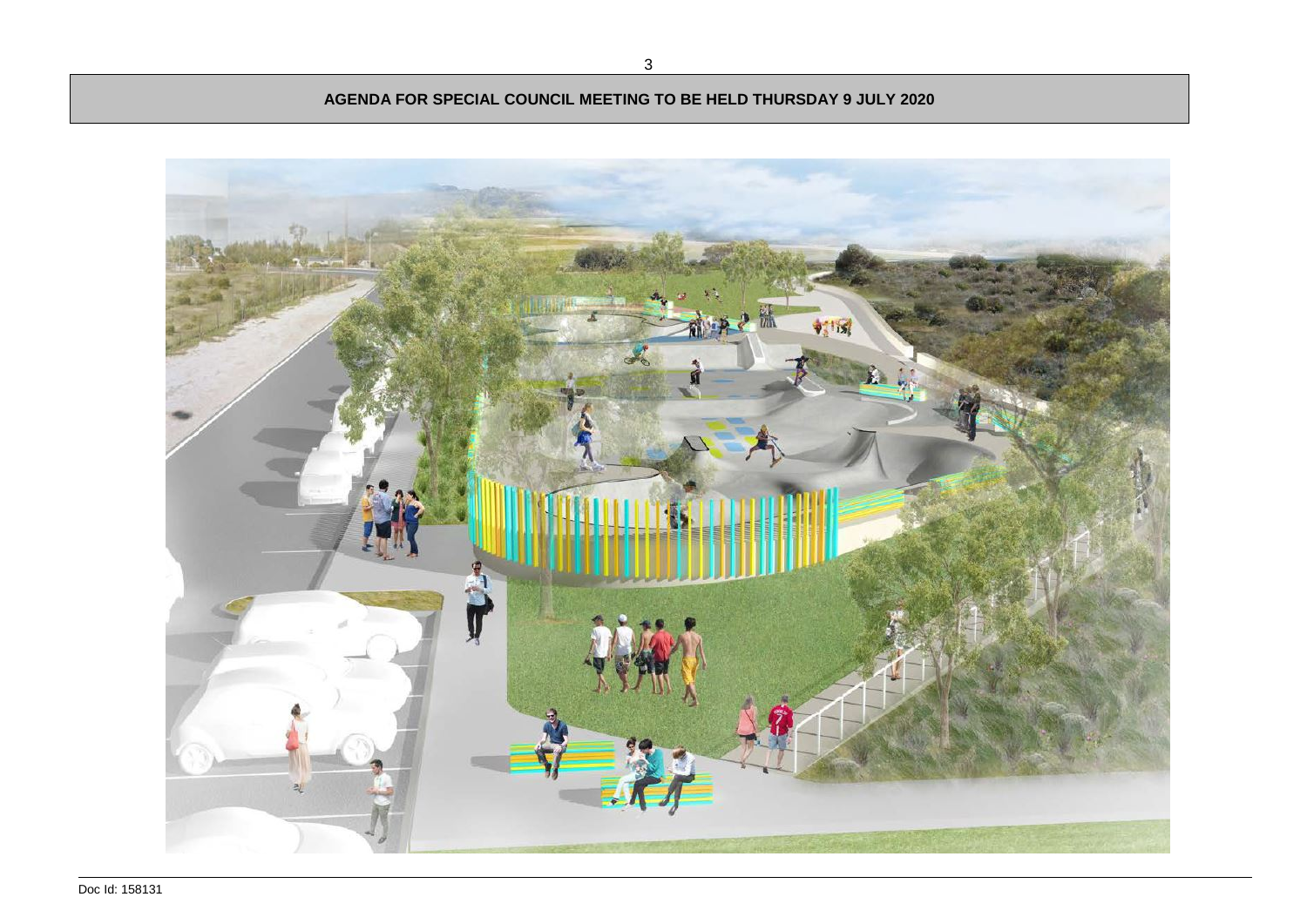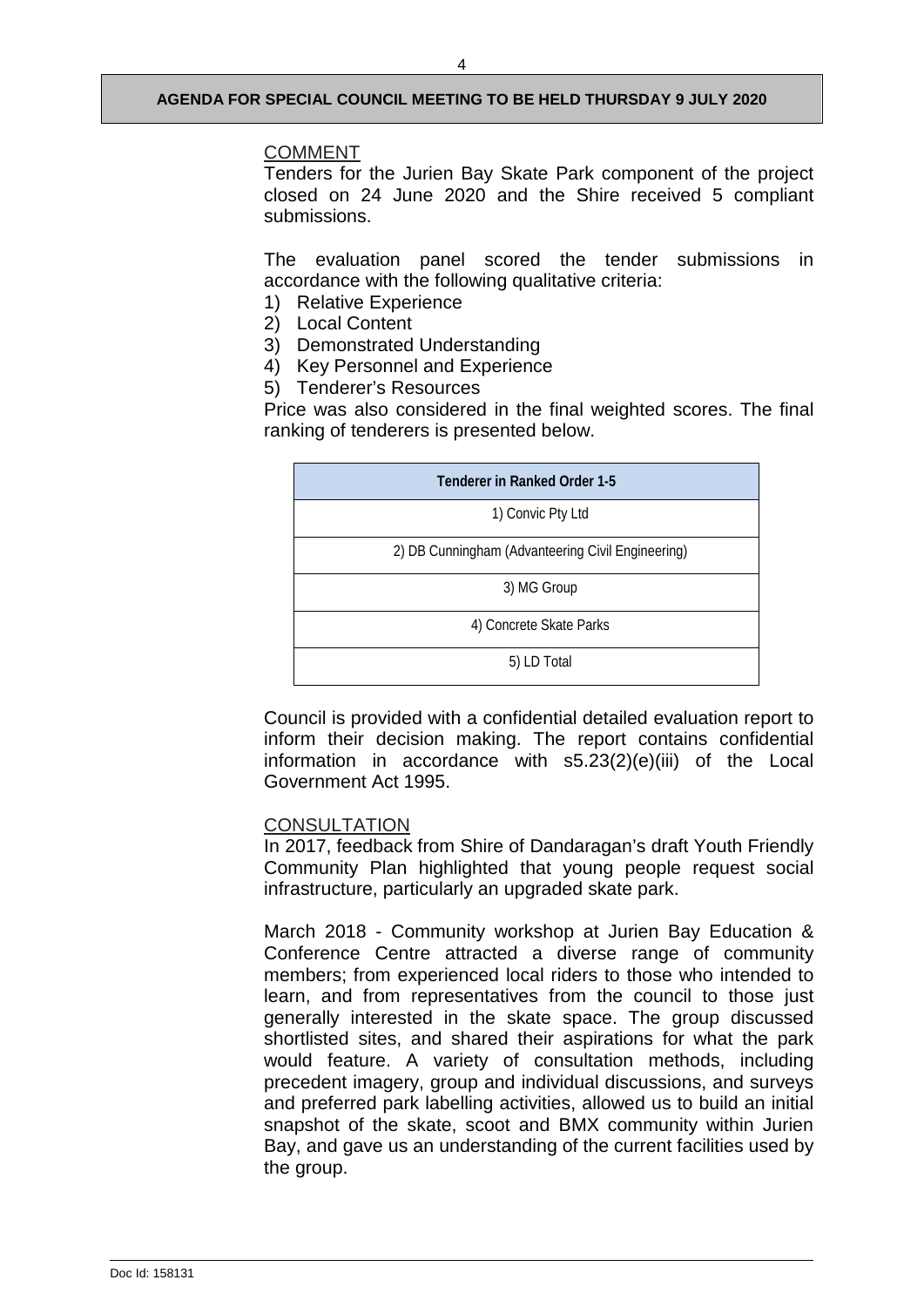#### COMMENT

Tenders for the Jurien Bay Skate Park component of the project closed on 24 June 2020 and the Shire received 5 compliant submissions.

The evaluation panel scored the tender submissions in accordance with the following qualitative criteria:

- 1) Relative Experience
- 2) Local Content
- 3) Demonstrated Understanding
- 4) Key Personnel and Experience
- 5) Tenderer's Resources

Price was also considered in the final weighted scores. The final ranking of tenderers is presented below.

| Tenderer in Ranked Order 1-5                      |  |
|---------------------------------------------------|--|
| 1) Convic Pty Ltd                                 |  |
| 2) DB Cunningham (Advanteering Civil Engineering) |  |
| 3) MG Group                                       |  |
| 4) Concrete Skate Parks                           |  |
| 5) LD Total                                       |  |

Council is provided with a confidential detailed evaluation report to inform their decision making. The report contains confidential information in accordance with s5.23(2)(e)(iii) of the Local Government Act 1995.

## **CONSULTATION**

In 2017, feedback from Shire of Dandaragan's draft Youth Friendly Community Plan highlighted that young people request social infrastructure, particularly an upgraded skate park.

March 2018 - Community workshop at Jurien Bay Education & Conference Centre attracted a diverse range of community members; from experienced local riders to those who intended to learn, and from representatives from the council to those just generally interested in the skate space. The group discussed shortlisted sites, and shared their aspirations for what the park would feature. A variety of consultation methods, including precedent imagery, group and individual discussions, and surveys and preferred park labelling activities, allowed us to build an initial snapshot of the skate, scoot and BMX community within Jurien Bay, and gave us an understanding of the current facilities used by the group.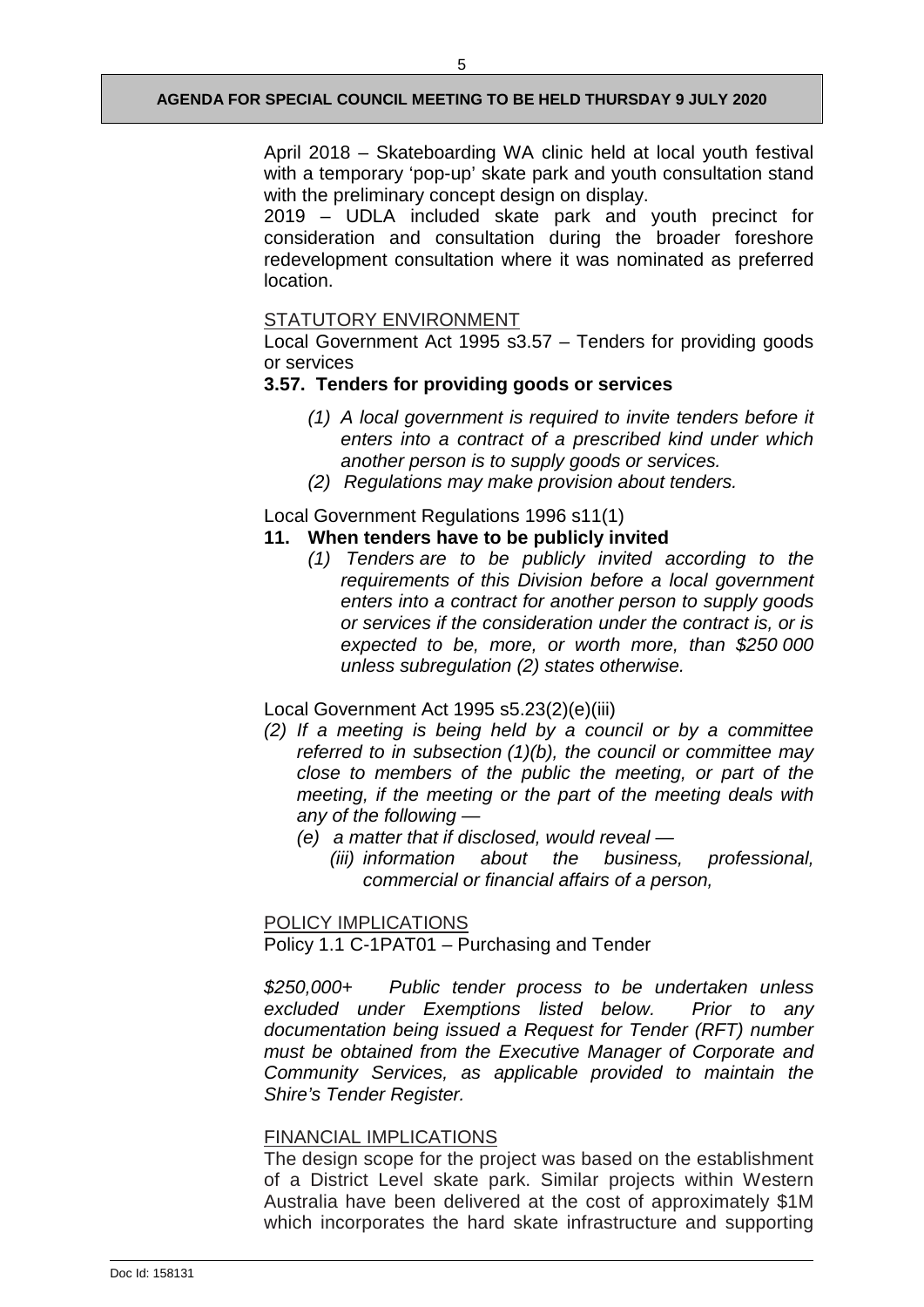April 2018 – Skateboarding WA clinic held at local youth festival with a temporary 'pop-up' skate park and youth consultation stand with the preliminary concept design on display.

2019 – UDLA included skate park and youth precinct for consideration and consultation during the broader foreshore redevelopment consultation where it was nominated as preferred location.

## STATUTORY ENVIRONMENT

Local Government Act 1995 s3.57 – Tenders for providing goods or services

## **3.57. Tenders for providing goods or services**

- *(1) A local government is required to invite tenders before it enters into a contract of a prescribed kind under which another person is to supply goods or services.*
- *(2) Regulations may make provision about tenders.*

#### Local Government Regulations 1996 s11(1)

## **11. When tenders have to be publicly invited**

*(1) Tenders are to be publicly invited according to the requirements of this Division before a local government enters into a contract for another person to supply goods or services if the consideration under the contract is, or is expected to be, more, or worth more, than \$250 000 unless subregulation (2) states otherwise.*

## Local Government Act 1995 s5.23(2)(e)(iii)

- *(2) If a meeting is being held by a council or by a committee referred to in subsection (1)(b), the council or committee may close to members of the public the meeting, or part of the meeting, if the meeting or the part of the meeting deals with any of the following —*
	- *(e) a matter that if disclosed, would reveal —*
		- *(iii) information about the business, professional, commercial or financial affairs of a person,*

# POLICY IMPLICATIONS

Policy 1.1 C-1PAT01 – Purchasing and Tender

*\$250,000+ Public tender process to be undertaken unless excluded under Exemptions listed below. Prior to any documentation being issued a Request for Tender (RFT) number must be obtained from the Executive Manager of Corporate and Community Services, as applicable provided to maintain the Shire's Tender Register.*

## FINANCIAL IMPLICATIONS

The design scope for the project was based on the establishment of a District Level skate park. Similar projects within Western Australia have been delivered at the cost of approximately \$1M which incorporates the hard skate infrastructure and supporting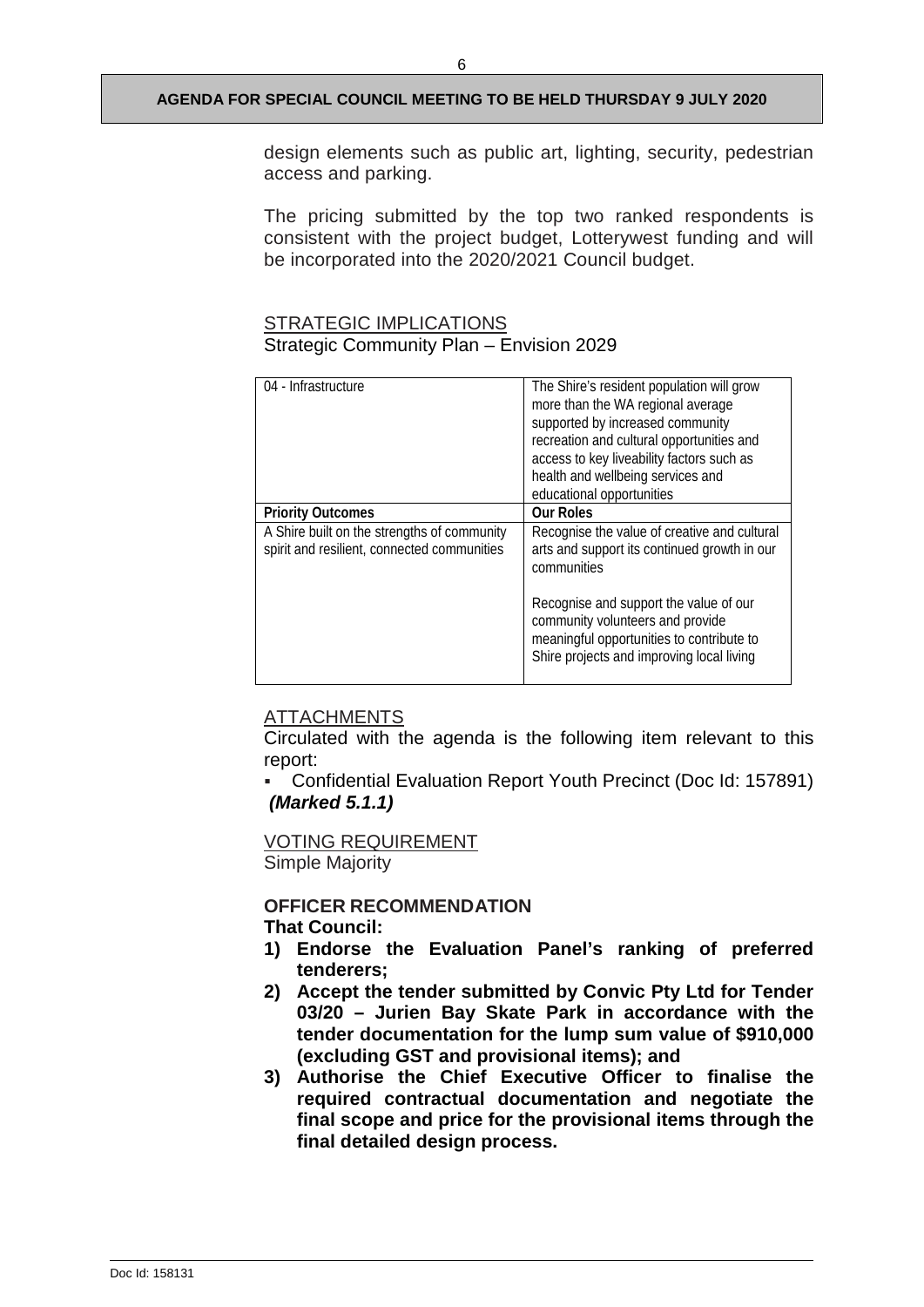design elements such as public art, lighting, security, pedestrian access and parking.

The pricing submitted by the top two ranked respondents is consistent with the project budget, Lotterywest funding and will be incorporated into the 2020/2021 Council budget.

## STRATEGIC IMPLICATIONS Strategic Community Plan – Envision 2029

| 04 - Infrastructure                                                                        | The Shire's resident population will grow<br>more than the WA regional average<br>supported by increased community<br>recreation and cultural opportunities and<br>access to key liveability factors such as<br>health and wellbeing services and<br>educational opportunities |
|--------------------------------------------------------------------------------------------|--------------------------------------------------------------------------------------------------------------------------------------------------------------------------------------------------------------------------------------------------------------------------------|
| <b>Priority Outcomes</b>                                                                   | <b>Our Roles</b>                                                                                                                                                                                                                                                               |
| A Shire built on the strengths of community<br>spirit and resilient, connected communities | Recognise the value of creative and cultural<br>arts and support its continued growth in our<br>communities                                                                                                                                                                    |
|                                                                                            | Recognise and support the value of our<br>community volunteers and provide<br>meaningful opportunities to contribute to<br>Shire projects and improving local living                                                                                                           |

## ATTACHMENTS

Circulated with the agenda is the following item relevant to this report:

 Confidential Evaluation Report Youth Precinct (Doc Id: 157891) *(Marked 5.1.1)*

VOTING REQUIREMENT Simple Majority

**OFFICER RECOMMENDATION That Council:** 

- **1) Endorse the Evaluation Panel's ranking of preferred tenderers;**
- **2) Accept the tender submitted by Convic Pty Ltd for Tender 03/20 – Jurien Bay Skate Park in accordance with the tender documentation for the lump sum value of \$910,000 (excluding GST and provisional items); and**
- **3) Authorise the Chief Executive Officer to finalise the required contractual documentation and negotiate the final scope and price for the provisional items through the final detailed design process.**